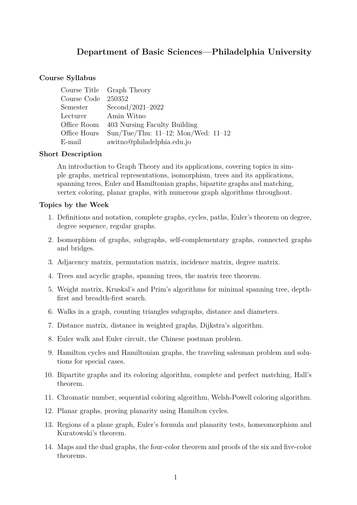# **Department of Basic Sciences—Philadelphia University**

#### **Course Syllabus**

|                     | Course Title Graph Theory                |
|---------------------|------------------------------------------|
| Course Code 250352  |                                          |
| Semester            | $Second/2021-2022$                       |
| Lecturer Amin Witno |                                          |
|                     | Office Room 403 Nursing Faculty Building |
| Office Hours        | Sun/Tue/Thu: $11-12$ ; Mon/Wed: $11-12$  |
| E-mail              | awitno@philadelphia.edu.jo               |

#### **Short Description**

An introduction to Graph Theory and its applications, covering topics in simple graphs, metrical representations, isomorphism, trees and its applications, spanning trees, Euler and Hamiltonian graphs, bipartite graphs and matching, vertex coloring, planar graphs, with numerous graph algorithms throughout.

#### **Topics by the Week**

- 1. Definitions and notation, complete graphs, cycles, paths, Euler's theorem on degree, degree sequence, regular graphs.
- 2. Isomorphism of graphs, subgraphs, self-complementary graphs, connected graphs and bridges.
- 3. Adjacency matrix, permutation matrix, incidence matrix, degree matrix.
- 4. Trees and acyclic graphs, spanning trees, the matrix tree theorem.
- 5. Weight matrix, Kruskal's and Prim's algorithms for minimal spanning tree, depthfirst and breadth-first search.
- 6. Walks in a graph, counting triangles subgraphs, distance and diameters.
- 7. Distance matrix, distance in weighted graphs, Dijkstra's algorithm.
- 8. Euler walk and Euler circuit, the Chinese postman problem.
- 9. Hamilton cycles and Hamiltonian graphs, the traveling salesman problem and solutions for special cases.
- 10. Bipartite graphs and its coloring algorithm, complete and perfect matching, Hall's theorem.
- 11. Chromatic number, sequential coloring algorithm, Welsh-Powell coloring algorithm.
- 12. Planar graphs, proving planarity using Hamilton cycles.
- 13. Regions of a plane graph, Euler's formula and planarity tests, homeomorphism and Kuratowski's theorem.
- 14. Maps and the dual graphs, the four-color theorem and proofs of the six and five-color theorems.